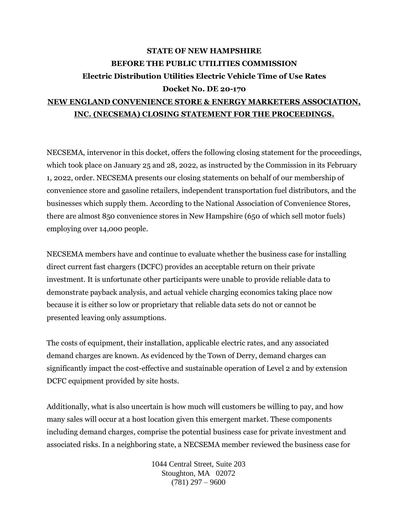## **STATE OF NEW HAMPSHIRE BEFORE THE PUBLIC UTILITIES COMMISSION Electric Distribution Utilities Electric Vehicle Time of Use Rates Docket No. DE 20-170 NEW ENGLAND CONVENIENCE STORE & ENERGY MARKETERS ASSOCIATION,**

## **INC. (NECSEMA) CLOSING STATEMENT FOR THE PROCEEDINGS.**

NECSEMA, intervenor in this docket, offers the following closing statement for the proceedings, which took place on January 25 and 28, 2022, as instructed by the Commission in its February 1, 2022, order. NECSEMA presents our closing statements on behalf of our membership of convenience store and gasoline retailers, independent transportation fuel distributors, and the businesses which supply them. According to the National Association of Convenience Stores, there are almost 850 convenience stores in New Hampshire (650 of which sell motor fuels) employing over 14,000 people.

NECSEMA members have and continue to evaluate whether the business case for installing direct current fast chargers (DCFC) provides an acceptable return on their private investment. It is unfortunate other participants were unable to provide reliable data to demonstrate payback analysis, and actual vehicle charging economics taking place now because it is either so low or proprietary that reliable data sets do not or cannot be presented leaving only assumptions.

The costs of equipment, their installation, applicable electric rates, and any associated demand charges are known. As evidenced by the Town of Derry, demand charges can significantly impact the cost-effective and sustainable operation of Level 2 and by extension DCFC equipment provided by site hosts.

Additionally, what is also uncertain is how much will customers be willing to pay, and how many sales will occur at a host location given this emergent market. These components including demand charges, comprise the potential business case for private investment and associated risks. In a neighboring state, a NECSEMA member reviewed the business case for

> 1044 Central Street, Suite 203 Stoughton, MA 02072  $(781)$  297 – 9600